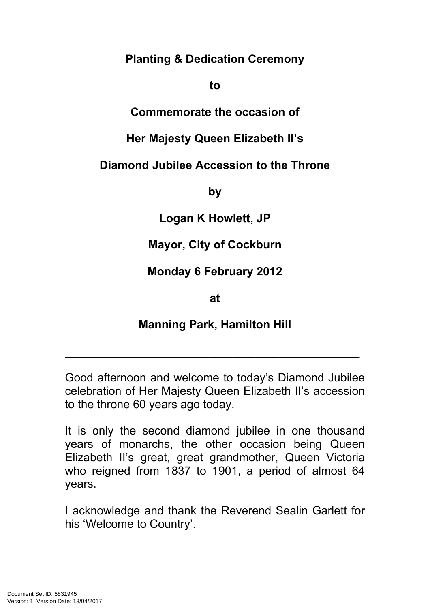**Planting & Dedication Ceremony**

#### **to**

#### **Commemorate the occasion of**

## **Her Majesty Queen Elizabeth II's**

### **Diamond Jubilee Accession to the Throne**

**by**

**Logan K Howlett, JP**

# **Mayor, City of Cockburn**

**Monday 6 February 2012**

**at**

### **Manning Park, Hamilton Hill**

 $\mathcal{L}_\text{max}$  , and the contract of the contract of the contract of the contract of the contract of the contract of the contract of the contract of the contract of the contract of the contract of the contract of the contr

Good afternoon and welcome to today's Diamond Jubilee celebration of Her Majesty Queen Elizabeth II's accession to the throne 60 years ago today.

It is only the second diamond jubilee in one thousand years of monarchs, the other occasion being Queen Elizabeth II's great, great grandmother, Queen Victoria who reigned from 1837 to 1901, a period of almost 64 years.

I acknowledge and thank the Reverend Sealin Garlett for his 'Welcome to Country'.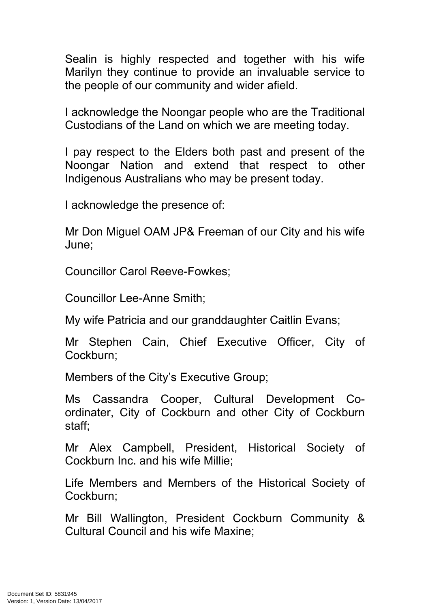Sealin is highly respected and together with his wife Marilyn they continue to provide an invaluable service to the people of our community and wider afield.

I acknowledge the Noongar people who are the Traditional Custodians of the Land on which we are meeting today.

I pay respect to the Elders both past and present of the Noongar Nation and extend that respect to other Indigenous Australians who may be present today.

I acknowledge the presence of:

Mr Don Miguel OAM JP& Freeman of our City and his wife June;

Councillor Carol Reeve-Fowkes;

Councillor Lee-Anne Smith;

My wife Patricia and our granddaughter Caitlin Evans;

Mr Stephen Cain, Chief Executive Officer, City of Cockburn;

Members of the City's Executive Group;

Ms Cassandra Cooper, Cultural Development Coordinater, City of Cockburn and other City of Cockburn staff;

Mr Alex Campbell, President, Historical Society of Cockburn Inc. and his wife Millie;

Life Members and Members of the Historical Society of Cockburn;

Mr Bill Wallington, President Cockburn Community & Cultural Council and his wife Maxine;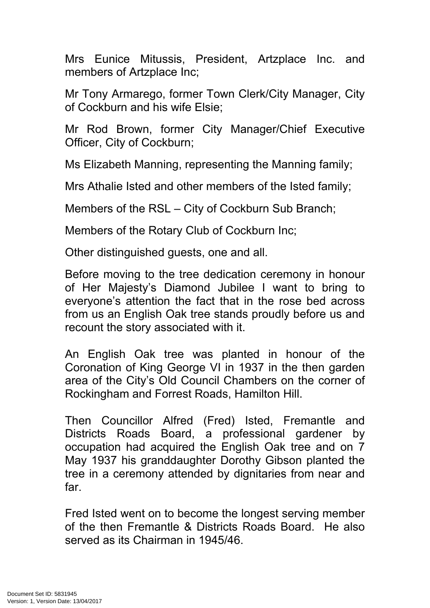Mrs Eunice Mitussis, President, Artzplace Inc. and members of Artzplace Inc;

Mr Tony Armarego, former Town Clerk/City Manager, City of Cockburn and his wife Elsie;

Mr Rod Brown, former City Manager/Chief Executive Officer, City of Cockburn;

Ms Elizabeth Manning, representing the Manning family;

Mrs Athalie Isted and other members of the Isted family;

Members of the RSL – City of Cockburn Sub Branch;

Members of the Rotary Club of Cockburn Inc;

Other distinguished guests, one and all.

Before moving to the tree dedication ceremony in honour of Her Majesty's Diamond Jubilee I want to bring to everyone's attention the fact that in the rose bed across from us an English Oak tree stands proudly before us and recount the story associated with it.

An English Oak tree was planted in honour of the Coronation of King George VI in 1937 in the then garden area of the City's Old Council Chambers on the corner of Rockingham and Forrest Roads, Hamilton Hill.

Then Councillor Alfred (Fred) Isted, Fremantle and Districts Roads Board, a professional gardener by occupation had acquired the English Oak tree and on 7 May 1937 his granddaughter Dorothy Gibson planted the tree in a ceremony attended by dignitaries from near and far.

Fred Isted went on to become the longest serving member of the then Fremantle & Districts Roads Board. He also served as its Chairman in 1945/46.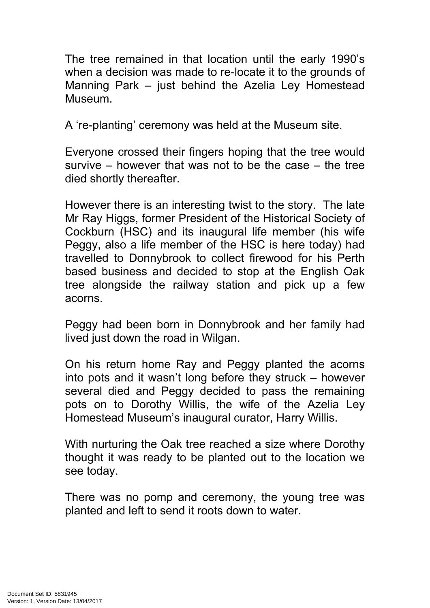The tree remained in that location until the early 1990's when a decision was made to re-locate it to the grounds of Manning Park – just behind the Azelia Ley Homestead Museum.

A 're-planting' ceremony was held at the Museum site.

Everyone crossed their fingers hoping that the tree would survive – however that was not to be the case – the tree died shortly thereafter.

However there is an interesting twist to the story. The late Mr Ray Higgs, former President of the Historical Society of Cockburn (HSC) and its inaugural life member (his wife Peggy, also a life member of the HSC is here today) had travelled to Donnybrook to collect firewood for his Perth based business and decided to stop at the English Oak tree alongside the railway station and pick up a few acorns.

Peggy had been born in Donnybrook and her family had lived just down the road in Wilgan.

On his return home Ray and Peggy planted the acorns into pots and it wasn't long before they struck – however several died and Peggy decided to pass the remaining pots on to Dorothy Willis, the wife of the Azelia Ley Homestead Museum's inaugural curator, Harry Willis.

With nurturing the Oak tree reached a size where Dorothy thought it was ready to be planted out to the location we see today.

There was no pomp and ceremony, the young tree was planted and left to send it roots down to water.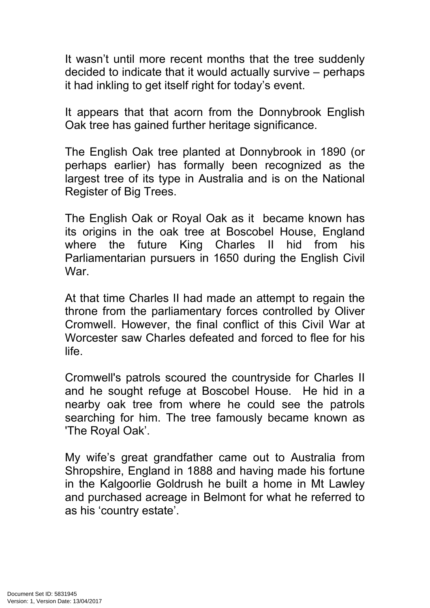It wasn't until more recent months that the tree suddenly decided to indicate that it would actually survive – perhaps it had inkling to get itself right for today's event.

It appears that that acorn from the Donnybrook English Oak tree has gained further heritage significance.

The English Oak tree planted at Donnybrook in 1890 (or perhaps earlier) has formally been recognized as the largest tree of its type in Australia and is on the National Register of Big Trees.

The English Oak or Royal Oak as it became known has its origins in the oak tree at [Boscobel](http://en.wikipedia.org/wiki/Boscobel_House) House, England where the future King [Charles](http://en.wikipedia.org/wiki/Charles_II_of_England) II hid from his [Parliamentarian](http://en.wikipedia.org/wiki/Roundhead) pursuers in 1650 during the [English](http://en.wikipedia.org/wiki/English_Civil_War) Civil [War](http://en.wikipedia.org/wiki/English_Civil_War).

At that time Charles II had made an attempt to regain the throne from the parliamentary forces controlled by Oliver Cromwell. However, the final conflict of this Civil War at Worcester saw Charles defeated and forced to flee for his life.

Cromwell's patrols scoured the countryside for Charles II and he sought refuge at Boscobel House. He hid in a nearby oak tree from where he could see the patrols searching for him. The tree famously became known as 'The Royal Oak'.

My wife's great grandfather came out to Australia from Shropshire, England in 1888 and having made his fortune in the Kalgoorlie Goldrush he built a home in Mt Lawley and purchased acreage in Belmont for what he referred to as his 'country estate'.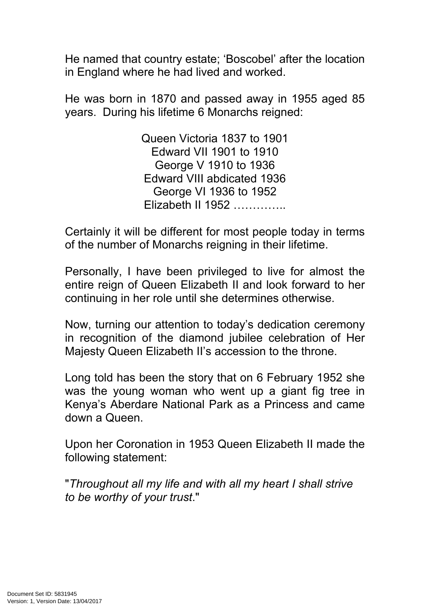He named that country estate; 'Boscobel' after the location in England where he had lived and worked.

He was born in 1870 and passed away in 1955 aged 85 years. During his lifetime 6 Monarchs reigned:

> Queen Victoria 1837 to 1901 Edward VII 1901 to 1910 George V 1910 to 1936 Edward VIII abdicated 1936 George VI 1936 to 1952 Elizabeth II 1952 …………..

Certainly it will be different for most people today in terms of the number of Monarchs reigning in their lifetime.

Personally, I have been privileged to live for almost the entire reign of Queen Elizabeth II and look forward to her continuing in her role until she determines otherwise.

Now, turning our attention to today's dedication ceremony in recognition of the diamond jubilee celebration of Her Majesty Queen Elizabeth II's accession to the throne.

Long told has been the story that on 6 February 1952 she was the young woman who went up a giant fig tree in Kenya's Aberdare National Park as a Princess and came down a Queen.

Upon her Coronation in 1953 Queen Elizabeth II made the following statement:

"*Throughout all my life and with all my heart I shall strive to be worthy of your trust*."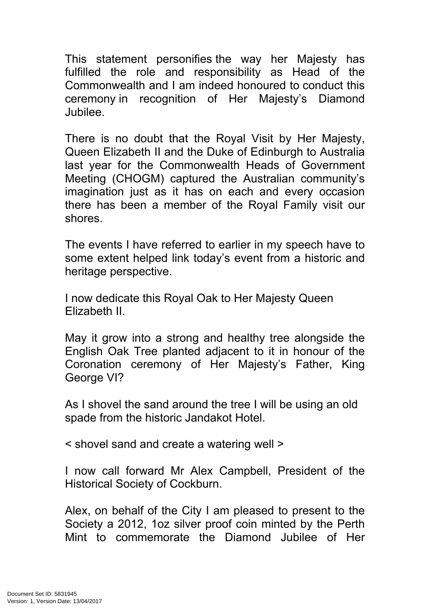This statement personifies the way her Majesty has fulfilled the role and responsibility as Head of the Commonwealth and I am indeed honoured to conduct this ceremony in recognition of Her Majesty's Diamond Jubilee.

There is no doubt that the Royal Visit by Her Majesty, Queen Elizabeth II and the Duke of Edinburgh to Australia last year for the Commonwealth Heads of Government Meeting (CHOGM) captured the Australian community's imagination just as it has on each and every occasion there has been a member of the Royal Family visit our shores.

The events I have referred to earlier in my speech have to some extent helped link today's event from a historic and heritage perspective.

I now dedicate this Royal Oak to Her Majesty Queen Elizabeth II.

May it grow into a strong and healthy tree alongside the English Oak Tree planted adjacent to it in honour of the Coronation ceremony of Her Majesty's Father, King George VI?

As I shovel the sand around the tree I will be using an old spade from the historic Jandakot Hotel.

< shovel sand and create a watering well >

I now call forward Mr Alex Campbell, President of the Historical Society of Cockburn.

Alex, on behalf of the City I am pleased to present to the Society a 2012, 1oz silver proof coin minted by the Perth Mint to commemorate the Diamond Jubilee of Her